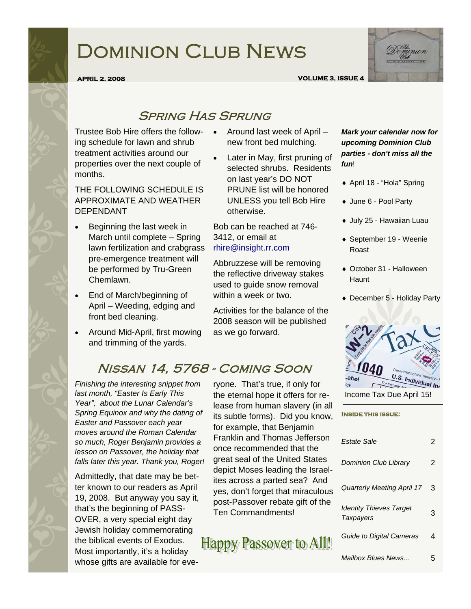# Dominion Club News



#### **APRIL 2, 2008 VOLUME 3, ISSUE 4**

### Spring Has Sprung

Trustee Bob Hire offers the following schedule for lawn and shrub treatment activities around our properties over the next couple of months.

THE FOLLOWING SCHEDULE IS APPROXIMATE AND WEATHER DEPENDANT

- Beginning the last week in March until complete – Spring lawn fertilization and crabgrass pre-emergence treatment will be performed by Tru-Green Chemlawn.
- End of March/beginning of April – Weeding, edging and front bed cleaning.
- Around Mid-April, first mowing and trimming of the yards.
- Around last week of April new front bed mulching.
- Later in May, first pruning of selected shrubs. Residents on last year's DO NOT PRUNE list will be honored UNLESS you tell Bob Hire otherwise.

Bob can be reached at 746- 3412, or email at rhire@insight.rr.com

Abbruzzese will be removing the reflective driveway stakes used to guide snow removal within a week or two.

Activities for the balance of the 2008 season will be published as we go forward.

## Nissan 14, 5768 - Coming Soon

*Finishing the interesting snippet from last month, "Easter Is Early This Year", about the Lunar Calendar's Spring Equinox and why the dating of Easter and Passover each year moves around the Roman Calendar so much, Roger Benjamin provides a lesson on Passover, the holiday that falls later this year. Thank you, Roger!*

Admittedly, that date may be better known to our readers as April 19, 2008. But anyway you say it, that's the beginning of PASS-OVER, a very special eight day Jewish holiday commemorating the biblical events of Exodus. Most importantly, it's a holiday whose gifts are available for eve-

ryone. That's true, if only for the eternal hope it offers for release from human slavery (in all its subtle forms). Did you know, for example, that Benjamin Franklin and Thomas Jefferson once recommended that the great seal of the United States depict Moses leading the Israelites across a parted sea? And yes, don't forget that miraculous post-Passover rebate gift of the Ten Commandments!

Happy Passover to All!

*Mark your calendar now for upcoming Dominion Club parties - don't miss all the fun*!

- ♦ April 18 "Hola" Spring
- ♦ June 6 Pool Party
- ♦ July 25 Hawaiian Luau
- ♦ September 19 Weenie Roast
- ♦ October 31 Halloween **Haunt**
- ♦ December 5 Holiday Party



**Inside this issue:** 

| Estate Sale                                        | 2 |
|----------------------------------------------------|---|
| <b>Dominion Club Library</b>                       | 2 |
| <b>Quarterly Meeting April 17</b>                  | 3 |
| <b>Identity Thieves Target</b><br><b>Taxpayers</b> | 3 |
| Guide to Digital Cameras                           | 4 |
| Mailbox Blues News                                 | 5 |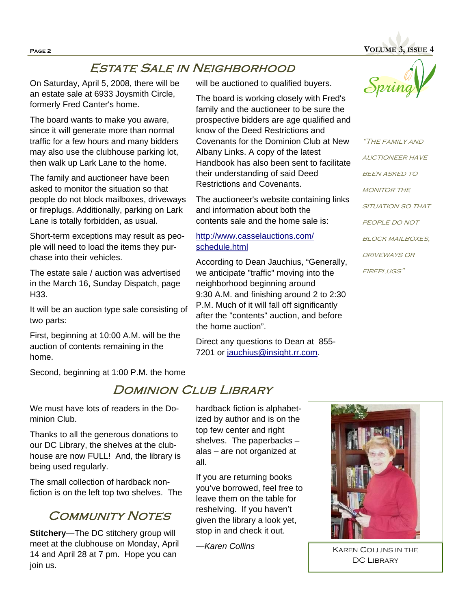**Page 2 VOLUME 3, ISSUE 4** 

### Estate Sale in Neighborhood

On Saturday, April 5, 2008, there will be an estate sale at 6933 Joysmith Circle, formerly Fred Canter's home.

The board wants to make you aware, since it will generate more than normal traffic for a few hours and many bidders may also use the clubhouse parking lot, then walk up Lark Lane to the home.

The family and auctioneer have been asked to monitor the situation so that people do not block mailboxes, driveways or fireplugs. Additionally, parking on Lark Lane is totally forbidden, as usual.

Short-term exceptions may result as people will need to load the items they purchase into their vehicles.

The estate sale / auction was advertised in the March 16, Sunday Dispatch, page H33.

It will be an auction type sale consisting of two parts:

First, beginning at 10:00 A.M. will be the auction of contents remaining in the home.

Second, beginning at 1:00 P.M. the home

will be auctioned to qualified buyers.

The board is working closely with Fred's family and the auctioneer to be sure the prospective bidders are age qualified and know of the Deed Restrictions and Covenants for the Dominion Club at New Albany Links. A copy of the latest Handbook has also been sent to facilitate their understanding of said Deed Restrictions and Covenants.

The auctioneer's website containing links and information about both the contents sale and the home sale is:

http://www.casselauctions.com/ schedule.html

According to Dean Jauchius, "Generally, we anticipate "traffic" moving into the neighborhood beginning around 9:30 A.M. and finishing around 2 to 2:30 P.M. Much of it will fall off significantly after the "contents" auction, and before the home auction".

Direct any questions to Dean at 855- 7201 or jauchius@insight.rr.com.



"The family and auctioneer have **BEEN ASKED TO** MONITOR THE SITUATION SO THAT PEOPLE DO NOT **BLOCK MAILBOXES,** driveways or fireplugs"

### DOMINION CLUB LIBRARY

We must have lots of readers in the Dominion Club.

Thanks to all the generous donations to our DC Library, the shelves at the clubhouse are now FULL! And, the library is being used regularly.

The small collection of hardback nonfiction is on the left top two shelves. The

### **COMMUNITY NOTES**

**Stitchery**—The DC stitchery group will meet at the clubhouse on Monday, April 14 and April 28 at 7 pm. Hope you can join us.

hardback fiction is alphabetized by author and is on the top few center and right shelves. The paperbacks – alas – are not organized at all.

If you are returning books you've borrowed, feel free to leave them on the table for reshelving. If you haven't given the library a look yet, stop in and check it out.

—*Karen Collins* 



Karen Collins in the DC LIBRARY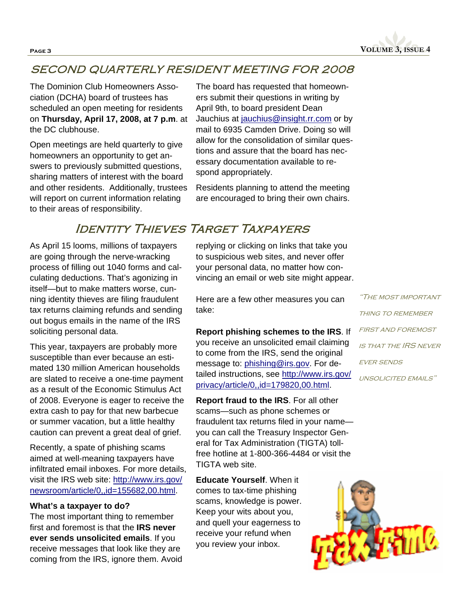**Page 3 VOLUME 3, ISSUE 4** 

### SECOND QUARTERLY RESIDENT MEETING FOR 2008

The Dominion Club Homeowners Association (DCHA) board of trustees has scheduled an open meeting for residents on **Thursday, April 17, 2008, at 7 p.m**. at the DC clubhouse.

Open meetings are held quarterly to give homeowners an opportunity to get answers to previously submitted questions, sharing matters of interest with the board and other residents. Additionally, trustees will report on current information relating to their areas of responsibility.

The board has requested that homeowners submit their questions in writing by April 9th, to board president Dean Jauchius at jauchius@insight.rr.com or by mail to 6935 Camden Drive. Doing so will allow for the consolidation of similar questions and assure that the board has necessary documentation available to respond appropriately.

Residents planning to attend the meeting are encouraged to bring their own chairs.

### Identity Thieves Target Taxpayers

As April 15 looms, millions of taxpayers are going through the nerve-wracking process of filling out 1040 forms and calculating deductions. That's agonizing in itself—but to make matters worse, cunning identity thieves are filing fraudulent tax returns claiming refunds and sending out bogus emails in the name of the IRS soliciting personal data.

This year, taxpayers are probably more susceptible than ever because an estimated 130 million American households are slated to receive a one-time payment as a result of the Economic Stimulus Act of 2008. Everyone is eager to receive the extra cash to pay for that new barbecue or summer vacation, but a little healthy caution can prevent a great deal of grief.

Recently, a spate of phishing scams aimed at well-meaning taxpayers have infiltrated email inboxes. For more details, visit the IRS web site: http://www.irs.gov/ newsroom/article/0,,id=155682,00.html.

#### **What's a taxpayer to do?**

The most important thing to remember first and foremost is that the **IRS never ever sends unsolicited emails**. If you receive messages that look like they are coming from the IRS, ignore them. Avoid

replying or clicking on links that take you to suspicious web sites, and never offer your personal data, no matter how convincing an email or web site might appear.

Here are a few other measures you can take:

**Report phishing schemes to the IRS**. If you receive an unsolicited email claiming to come from the IRS, send the original message to: phishing@irs.gov. For detailed instructions, see http://www.irs.gov/ privacy/article/0,,id=179820,00.html.

**Report fraud to the IRS**. For all other scams—such as phone schemes or fraudulent tax returns filed in your name you can call the Treasury Inspector General for Tax Administration (TIGTA) tollfree hotline at 1-800-366-4484 or visit the TIGTA web site.

**Educate Yourself**. When it comes to tax-time phishing scams, knowledge is power. Keep your wits about you, and quell your eagerness to receive your refund when you review your inbox.

"The most important THING TO REMEMBER first and foremost is that the IRS never **EVER SENDS** unsolicited emails"

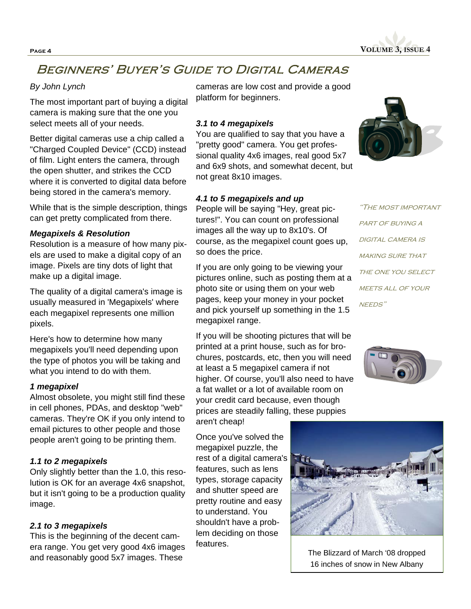**Page 4 VOLUME 3, ISSUE 4** 

### Beginners' Buyer's Guide to Digital Cameras

### *By John Lynch*

The most important part of buying a digital camera is making sure that the one you select meets all of your needs.

Better digital cameras use a chip called a "Charged Coupled Device" (CCD) instead of film. Light enters the camera, through the open shutter, and strikes the CCD where it is converted to digital data before being stored in the camera's memory.

While that is the simple description, things can get pretty complicated from there.

#### *Megapixels & Resolution*

Resolution is a measure of how many pixels are used to make a digital copy of an image. Pixels are tiny dots of light that make up a digital image.

The quality of a digital camera's image is usually measured in 'Megapixels' where each megapixel represents one million pixels.

Here's how to determine how many megapixels you'll need depending upon the type of photos you will be taking and what you intend to do with them.

#### *1 megapixel*

Almost obsolete, you might still find these in cell phones, PDAs, and desktop "web" cameras. They're OK if you only intend to email pictures to other people and those people aren't going to be printing them.

#### *1.1 to 2 megapixels*

Only slightly better than the 1.0, this resolution is OK for an average 4x6 snapshot, but it isn't going to be a production quality image.

#### *2.1 to 3 megapixels*

This is the beginning of the decent camera range. You get very good 4x6 images and reasonably good 5x7 images. These

cameras are low cost and provide a good platform for beginners.

#### *3.1 to 4 megapixels*

You are qualified to say that you have a "pretty good" camera. You get professional quality 4x6 images, real good 5x7 and 6x9 shots, and somewhat decent, but not great 8x10 images.

#### *4.1 to 5 megapixels and up*

People will be saying "Hey, great pictures!". You can count on professional images all the way up to 8x10's. Of course, as the megapixel count goes up, so does the price.

If you are only going to be viewing your pictures online, such as posting them at a photo site or using them on your web pages, keep your money in your pocket and pick yourself up something in the 1.5 megapixel range.

If you will be shooting pictures that will be printed at a print house, such as for brochures, postcards, etc, then you will need at least a 5 megapixel camera if not higher. Of course, you'll also need to have a fat wallet or a lot of available room on your credit card because, even though prices are steadily falling, these puppies aren't cheap!

Once you've solved the megapixel puzzle, the rest of a digital camera's features, such as lens types, storage capacity and shutter speed are pretty routine and easy to understand. You shouldn't have a problem deciding on those features.



"The most important PART OF BUYING A DIGITAL CAMERA IS **MAKING SURE THAT** THE ONE YOU SELECT MEETS ALL OF YOUR NEEDS"





The Blizzard of March '08 dropped 16 inches of snow in New Albany